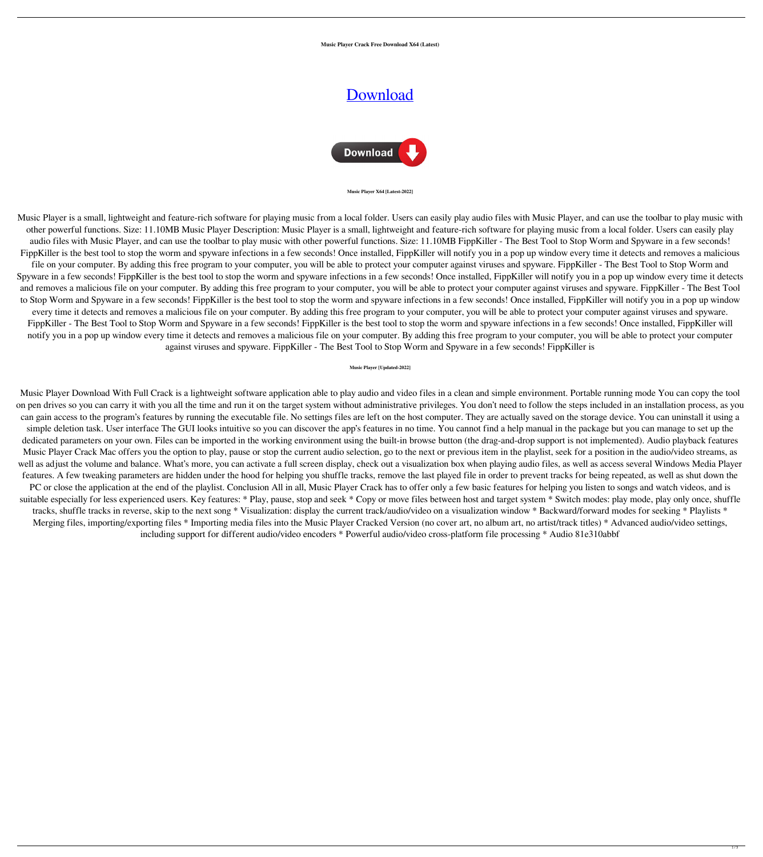**Music Player Crack Free Download X64 (Latest)**

# [Download](http://evacdir.com/apma/TXVzaWMgUGxheWVyTXV/viacom.jaret.arki/?lookers=ZG93bmxvYWR8Skw3TVhoNWNYeDhNVFkxTkRRek5qWTFPSHg4TWpVNU1IeDhLRTBwSUZkdmNtUndjbVZ6Y3lCYldFMU1VbEJESUZZeUlGQkVSbDA)



#### **Music Player X64 [Latest-2022]**

Music Player is a small, lightweight and feature-rich software for playing music from a local folder. Users can easily play audio files with Music Player, and can use the toolbar to play music with other powerful functions. Size: 11.10MB Music Player Description: Music Player is a small, lightweight and feature-rich software for playing music from a local folder. Users can easily play audio files with Music Player, and can use the toolbar to play music with other powerful functions. Size: 11.10MB FippKiller - The Best Tool to Stop Worm and Spyware in a few seconds! FippKiller is the best tool to stop the worm and spyware infections in a few seconds! Once installed, FippKiller will notify you in a pop up window every time it detects and removes a malicious file on your computer. By adding this free program to your computer, you will be able to protect your computer against viruses and spyware. FippKiller - The Best Tool to Stop Worm and Spyware in a few seconds! FippKiller is the best tool to stop the worm and spyware infections in a few seconds! Once installed, FippKiller will notify you in a pop up window every time it detects and removes a malicious file on your computer. By adding this free program to your computer, you will be able to protect your computer against viruses and spyware. FippKiller - The Best Tool to Stop Worm and Spyware in a few seconds! FippKiller is the best tool to stop the worm and spyware infections in a few seconds! Once installed, FippKiller will notify you in a pop up window every time it detects and removes a malicious file on your computer. By adding this free program to your computer, you will be able to protect your computer against viruses and spyware. FippKiller - The Best Tool to Stop Worm and Spyware in a few seconds! FippKiller is the best tool to stop the worm and spyware infections in a few seconds! Once installed, FippKiller will notify you in a pop up window every time it detects and removes a malicious file on your computer. By adding this free program to your computer, you will be able to protect your computer against viruses and spyware. FippKiller - The Best Tool to Stop Worm and Spyware in a few seconds! FippKiller is

## **Music Player [Updated-2022]**

Music Player Download With Full Crack is a lightweight software application able to play audio and video files in a clean and simple environment. Portable running mode You can copy the tool on pen drives so you can carry it with you all the time and run it on the target system without administrative privileges. You don't need to follow the steps included in an installation process, as you can gain access to the program's features by running the executable file. No settings files are left on the host computer. They are actually saved on the storage device. You can uninstall it using a simple deletion task. User interface The GUI looks intuitive so you can discover the app's features in no time. You cannot find a help manual in the package but you can manage to set up the dedicated parameters on your own. Files can be imported in the working environment using the built-in browse button (the drag-and-drop support is not implemented). Audio playback features Music Player Crack Mac offers you the option to play, pause or stop the current audio selection, go to the next or previous item in the playlist, seek for a position in the audio/video streams, as well as adjust the volume and balance. What's more, you can activate a full screen display, check out a visualization box when playing audio files, as well as access several Windows Media Player features. A few tweaking parameters are hidden under the hood for helping you shuffle tracks, remove the last played file in order to prevent tracks for being repeated, as well as shut down the PC or close the application at the end of the playlist. Conclusion All in all, Music Player Crack has to offer only a few basic features for helping you listen to songs and watch videos, and is suitable especially for less experienced users. Key features: \* Play, pause, stop and seek \* Copy or move files between host and target system \* Switch modes: play mode, play only once, shuffle tracks, shuffle tracks in reverse, skip to the next song \* Visualization: display the current track/audio/video on a visualization window \* Backward/forward modes for seeking \* Playlists \* Merging files, importing/exporting files \* Importing media files into the Music Player Cracked Version (no cover art, no album art, no artist/track titles) \* Advanced audio/video settings, including support for different audio/video encoders \* Powerful audio/video cross-platform file processing \* Audio 81e310abbf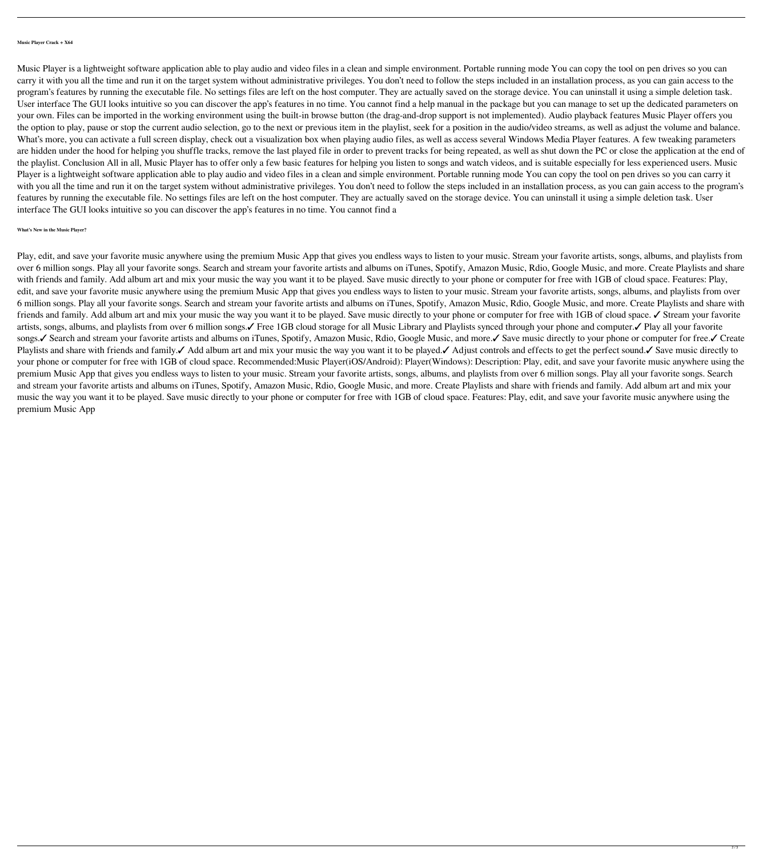## **Music Player Crack + X64**

Music Player is a lightweight software application able to play audio and video files in a clean and simple environment. Portable running mode You can copy the tool on pen drives so you can carry it with you all the time and run it on the target system without administrative privileges. You don't need to follow the steps included in an installation process, as you can gain access to the program's features by running the executable file. No settings files are left on the host computer. They are actually saved on the storage device. You can uninstall it using a simple deletion task. User interface The GUI looks intuitive so you can discover the app's features in no time. You cannot find a help manual in the package but you can manage to set up the dedicated parameters on your own. Files can be imported in the working environment using the built-in browse button (the drag-and-drop support is not implemented). Audio playback features Music Player offers you the option to play, pause or stop the current audio selection, go to the next or previous item in the playlist, seek for a position in the audio/video streams, as well as adjust the volume and balance. What's more, you can activate a full screen display, check out a visualization box when playing audio files, as well as access several Windows Media Player features. A few tweaking parameters are hidden under the hood for helping you shuffle tracks, remove the last played file in order to prevent tracks for being repeated, as well as shut down the PC or close the application at the end of the playlist. Conclusion All in all, Music Player has to offer only a few basic features for helping you listen to songs and watch videos, and is suitable especially for less experienced users. Music Player is a lightweight software application able to play audio and video files in a clean and simple environment. Portable running mode You can copy the tool on pen drives so you can carry it with you all the time and run it on the target system without administrative privileges. You don't need to follow the steps included in an installation process, as you can gain access to the program's features by running the executable file. No settings files are left on the host computer. They are actually saved on the storage device. You can uninstall it using a simple deletion task. User interface The GUI looks intuitive so you can discover the app's features in no time. You cannot find a

# **What's New in the Music Player?**

Play, edit, and save your favorite music anywhere using the premium Music App that gives you endless ways to listen to your music. Stream your favorite artists, songs, albums, and playlists from over 6 million songs. Play all your favorite songs. Search and stream your favorite artists and albums on iTunes, Spotify, Amazon Music, Rdio, Google Music, and more. Create Playlists and share with friends and family. Add album art and mix your music the way you want it to be played. Save music directly to your phone or computer for free with 1GB of cloud space. Features: Play, edit, and save your favorite music anywhere using the premium Music App that gives you endless ways to listen to your music. Stream your favorite artists, songs, albums, and playlists from over 6 million songs. Play all your favorite songs. Search and stream your favorite artists and albums on iTunes, Spotify, Amazon Music, Rdio, Google Music, and more. Create Playlists and share with friends and family. Add album art and mix your music the way you want it to be played. Save music directly to your phone or computer for free with 1GB of cloud space. ∕ Stream your favorite artists, songs, albums, and playlists from over 6 million songs.✓ Free 1GB cloud storage for all Music Library and Playlists synced through your phone and computer.✓ Play all your favorite songs.✓ Search and stream your favorite artists and albums on iTunes, Spotify, Amazon Music, Rdio, Google Music, and more.✓ Save music directly to your phone or computer for free.✓ Create Playlists and share with friends and family. Add album art and mix your music the way you want it to be played. Adjust controls and effects to get the perfect sound. I Save music directly to your phone or computer for free with 1GB of cloud space. Recommended:Music Player(iOS/Android): Player(Windows): Description: Play, edit, and save your favorite music anywhere using the premium Music App that gives you endless ways to listen to your music. Stream your favorite artists, songs, albums, and playlists from over 6 million songs. Play all your favorite songs. Search and stream your favorite artists and albums on iTunes, Spotify, Amazon Music, Rdio, Google Music, and more. Create Playlists and share with friends and family. Add album art and mix your music the way you want it to be played. Save music directly to your phone or computer for free with 1GB of cloud space. Features: Play, edit, and save your favorite music anywhere using the premium Music App